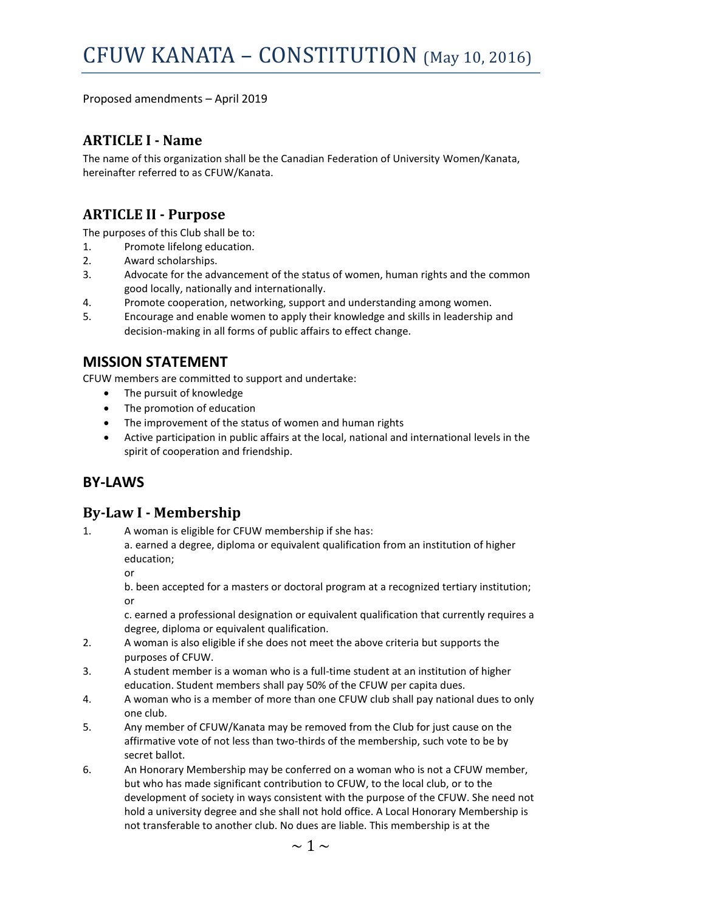Proposed amendments – April 2019

### **ARTICLE I - Name**

The name of this organization shall be the Canadian Federation of University Women/Kanata, hereinafter referred to as CFUW/Kanata.

## **ARTICLE II - Purpose**

The purposes of this Club shall be to:

- 1. Promote lifelong education.
- 2. Award scholarships.
- 3. Advocate for the advancement of the status of women, human rights and the common good locally, nationally and internationally.
- 4. Promote cooperation, networking, support and understanding among women.
- 5. Encourage and enable women to apply their knowledge and skills in leadership and decision-making in all forms of public affairs to effect change.

### **MISSION STATEMENT**

CFUW members are committed to support and undertake:

- The pursuit of knowledge
- The promotion of education
- The improvement of the status of women and human rights
- Active participation in public affairs at the local, national and international levels in the spirit of cooperation and friendship.

### **BY-LAWS**

#### **By-Law I - Membership**

1. A woman is eligible for CFUW membership if she has:

a. earned a degree, diploma or equivalent qualification from an institution of higher education;

or

b. been accepted for a masters or doctoral program at a recognized tertiary institution; or

c. earned a professional designation or equivalent qualification that currently requires a degree, diploma or equivalent qualification.

- 2. A woman is also eligible if she does not meet the above criteria but supports the purposes of CFUW.
- 3. A student member is a woman who is a full-time student at an institution of higher education. Student members shall pay 50% of the CFUW per capita dues.
- 4. A woman who is a member of more than one CFUW club shall pay national dues to only one club.
- 5. Any member of CFUW/Kanata may be removed from the Club for just cause on the affirmative vote of not less than two-thirds of the membership, such vote to be by secret ballot.
- 6. An Honorary Membership may be conferred on a woman who is not a CFUW member, but who has made significant contribution to CFUW, to the local club, or to the development of society in ways consistent with the purpose of the CFUW. She need not hold a university degree and she shall not hold office. A Local Honorary Membership is not transferable to another club. No dues are liable. This membership is at the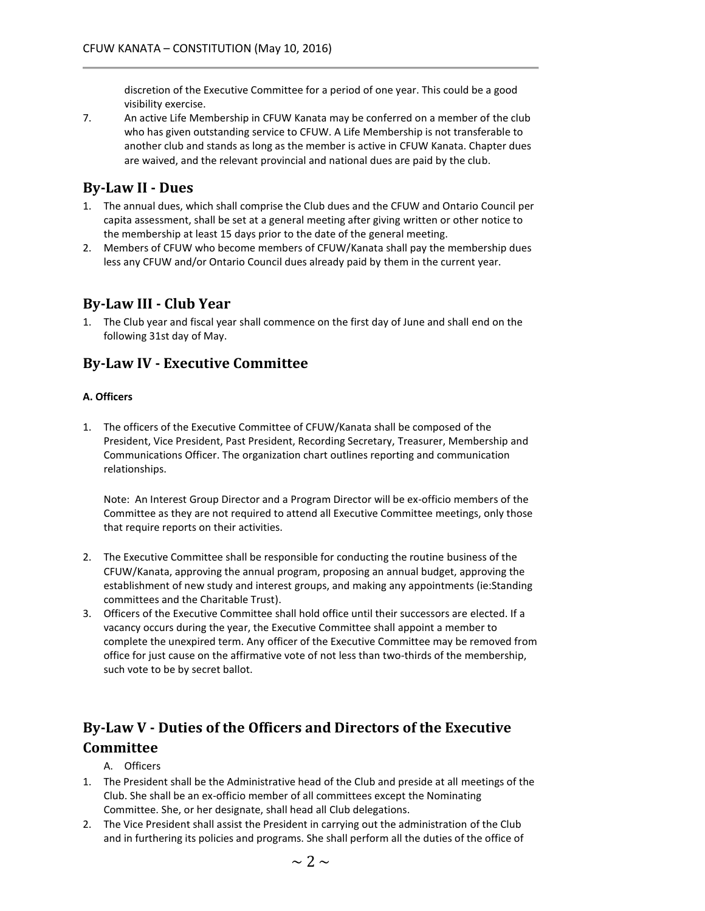discretion of the Executive Committee for a period of one year. This could be a good visibility exercise.

7. An active Life Membership in CFUW Kanata may be conferred on a member of the club who has given outstanding service to CFUW. A Life Membership is not transferable to another club and stands as long as the member is active in CFUW Kanata. Chapter dues are waived, and the relevant provincial and national dues are paid by the club.

#### **By-Law II - Dues**

- 1. The annual dues, which shall comprise the Club dues and the CFUW and Ontario Council per capita assessment, shall be set at a general meeting after giving written or other notice to the membership at least 15 days prior to the date of the general meeting.
- 2. Members of CFUW who become members of CFUW/Kanata shall pay the membership dues less any CFUW and/or Ontario Council dues already paid by them in the current year.

#### **By-Law III - Club Year**

1. The Club year and fiscal year shall commence on the first day of June and shall end on the following 31st day of May.

### **By-Law IV - Executive Committee**

#### **A. Officers**

1. The officers of the Executive Committee of CFUW/Kanata shall be composed of the President, Vice President, Past President, Recording Secretary, Treasurer, Membership and Communications Officer. The organization chart outlines reporting and communication relationships.

Note: An Interest Group Director and a Program Director will be ex-officio members of the Committee as they are not required to attend all Executive Committee meetings, only those that require reports on their activities.

- 2. The Executive Committee shall be responsible for conducting the routine business of the CFUW/Kanata, approving the annual program, proposing an annual budget, approving the establishment of new study and interest groups, and making any appointments (ie:Standing committees and the Charitable Trust).
- 3. Officers of the Executive Committee shall hold office until their successors are elected. If a vacancy occurs during the year, the Executive Committee shall appoint a member to complete the unexpired term. Any officer of the Executive Committee may be removed from office for just cause on the affirmative vote of not less than two-thirds of the membership, such vote to be by secret ballot.

# **By-Law V - Duties of the Officers and Directors of the Executive Committee**

- A. Officers
- 1. The President shall be the Administrative head of the Club and preside at all meetings of the Club. She shall be an ex-officio member of all committees except the Nominating Committee. She, or her designate, shall head all Club delegations.
- 2. The Vice President shall assist the President in carrying out the administration of the Club and in furthering its policies and programs. She shall perform all the duties of the office of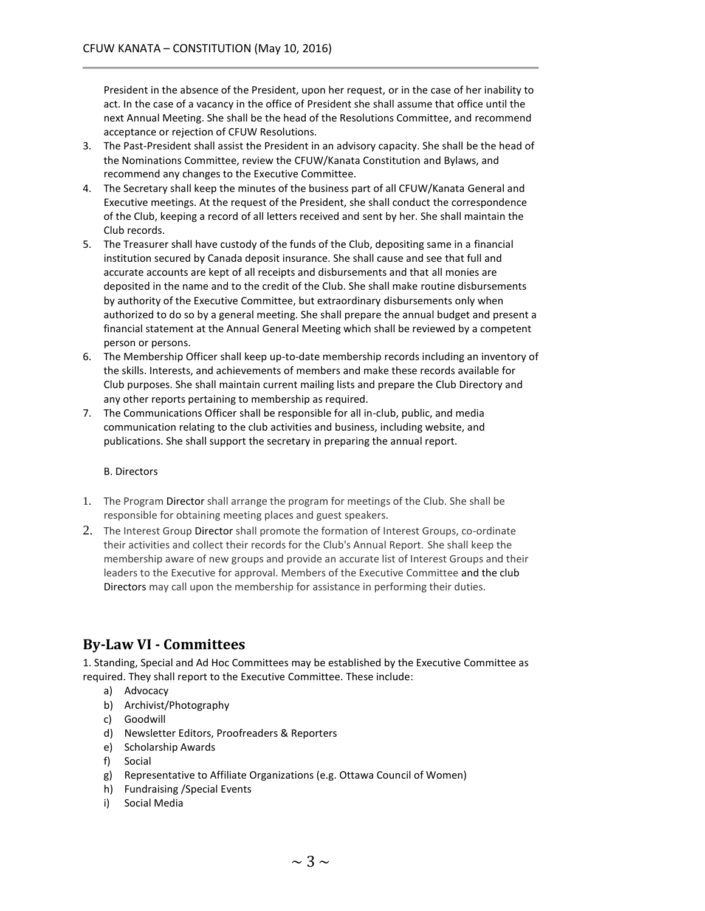President in the absence of the President, upon her request, or in the case of her inability to act. In the case of a vacancy in the office of President she shall assume that office until the next Annual Meeting. She shall be the head of the Resolutions Committee, and recommend acceptance or rejection of CFUW Resolutions.

- 3. The Past-President shall assist the President in an advisory capacity. She shall be the head of the Nominations Committee, review the CFUW/Kanata Constitution and Bylaws, and recommend any changes to the Executive Committee.
- 4. The Secretary shall keep the minutes of the business part of all CFUW/Kanata General and Executive meetings. At the request of the President, she shall conduct the correspondence of the Club, keeping a record of all letters received and sent by her. She shall maintain the Club records.
- 5. The Treasurer shall have custody of the funds of the Club, depositing same in a financial institution secured by Canada deposit insurance. She shall cause and see that full and accurate accounts are kept of all receipts and disbursements and that all monies are deposited in the name and to the credit of the Club. She shall make routine disbursements by authority of the Executive Committee, but extraordinary disbursements only when authorized to do so by a general meeting. She shall prepare the annual budget and present a financial statement at the Annual General Meeting which shall be reviewed by a competent person or persons.
- 6. The Membership Officer shall keep up-to-date membership records including an inventory of the skills. Interests, and achievements of members and make these records available for Club purposes. She shall maintain current mailing lists and prepare the Club Directory and any other reports pertaining to membership as required.
- 7. The Communications Officer shall be responsible for all in-club, public, and media communication relating to the club activities and business, including website, and publications. She shall support the secretary in preparing the annual report.

#### B. Directors

- 1. The Program Director shall arrange the program for meetings of the Club. She shall be responsible for obtaining meeting places and guest speakers.
- 2. The Interest Group Director shall promote the formation of Interest Groups, co-ordinate their activities and collect their records for the Club's Annual Report. She shall keep the membership aware of new groups and provide an accurate list of Interest Groups and their leaders to the Executive for approval. Members of the Executive Committee and the club Directors may call upon the membership for assistance in performing their duties.

### **By-Law VI - Committees**

1. Standing, Special and Ad Hoc Committees may be established by the Executive Committee as required. They shall report to the Executive Committee. These include:

- a) Advocacy
- b) Archivist/Photography
- c) Goodwill
- d) Newsletter Editors, Proofreaders & Reporters
- e) Scholarship Awards
- f) Social
- g) Representative to Affiliate Organizations (e.g. Ottawa Council of Women)
- h) Fundraising /Special Events
- i) Social Media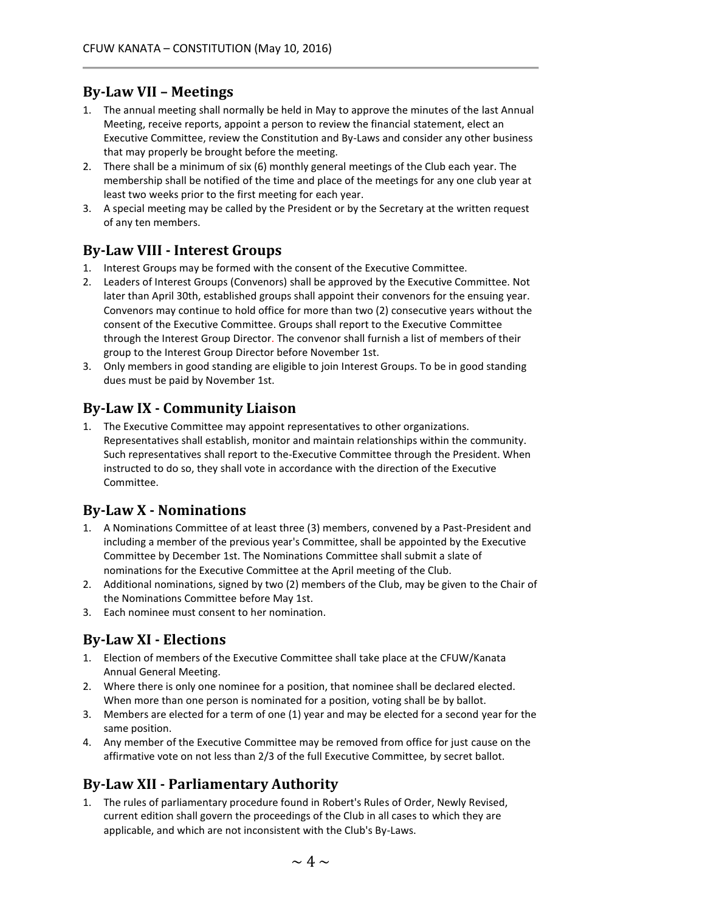### **By-Law VII – Meetings**

- 1. The annual meeting shall normally be held in May to approve the minutes of the last Annual Meeting, receive reports, appoint a person to review the financial statement, elect an Executive Committee, review the Constitution and By-Laws and consider any other business that may properly be brought before the meeting.
- 2. There shall be a minimum of six (6) monthly general meetings of the Club each year. The membership shall be notified of the time and place of the meetings for any one club year at least two weeks prior to the first meeting for each year.
- 3. A special meeting may be called by the President or by the Secretary at the written request of any ten members.

#### **By-Law VIII - Interest Groups**

- 1. Interest Groups may be formed with the consent of the Executive Committee.
- 2. Leaders of Interest Groups (Convenors) shall be approved by the Executive Committee. Not later than April 30th, established groups shall appoint their convenors for the ensuing year. Convenors may continue to hold office for more than two (2) consecutive years without the consent of the Executive Committee. Groups shall report to the Executive Committee through the Interest Group Director. The convenor shall furnish a list of members of their group to the Interest Group Director before November 1st.
- 3. Only members in good standing are eligible to join Interest Groups. To be in good standing dues must be paid by November 1st.

### **By-Law IX - Community Liaison**

1. The Executive Committee may appoint representatives to other organizations. Representatives shall establish, monitor and maintain relationships within the community. Such representatives shall report to the-Executive Committee through the President. When instructed to do so, they shall vote in accordance with the direction of the Executive Committee.

### **By-Law X - Nominations**

- 1. A Nominations Committee of at least three (3) members, convened by a Past-President and including a member of the previous year's Committee, shall be appointed by the Executive Committee by December 1st. The Nominations Committee shall submit a slate of nominations for the Executive Committee at the April meeting of the Club.
- 2. Additional nominations, signed by two (2) members of the Club, may be given to the Chair of the Nominations Committee before May 1st.
- 3. Each nominee must consent to her nomination.

### **By-Law XI - Elections**

- 1. Election of members of the Executive Committee shall take place at the CFUW/Kanata Annual General Meeting.
- 2. Where there is only one nominee for a position, that nominee shall be declared elected. When more than one person is nominated for a position, voting shall be by ballot.
- 3. Members are elected for a term of one (1) year and may be elected for a second year for the same position.
- 4. Any member of the Executive Committee may be removed from office for just cause on the affirmative vote on not less than 2/3 of the full Executive Committee, by secret ballot.

### **By-Law XII - Parliamentary Authority**

1. The rules of parliamentary procedure found in Robert's Rules of Order, Newly Revised, current edition shall govern the proceedings of the Club in all cases to which they are applicable, and which are not inconsistent with the Club's By-Laws.